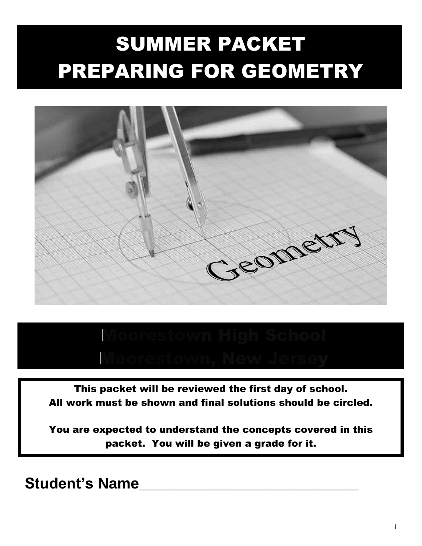# SUMMER PACKET PREPARING FOR GEOMETRY



This packet will be reviewed the first day of school. All work must be shown and final solutions should be circled.

You are expected to understand the concepts covered in this packet. You will be given a grade for it.

**Student's Name\_\_\_\_\_\_\_\_\_\_\_\_\_\_\_\_\_\_\_\_\_\_\_\_\_\_**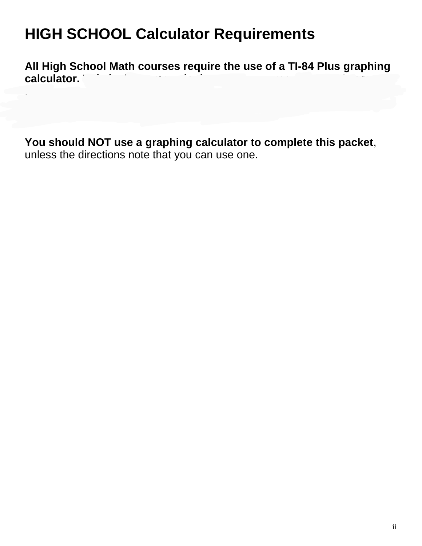## **HIGH SCHOOL Calculator Requirements**

**All High School Math courses require the use of a TI-84 Plus graphing**  calculator.

If you need to purchase another one, many local stores carry this calculator,

**You should NOT use a graphing calculator to complete this packet**, unless the directions note that you can use one.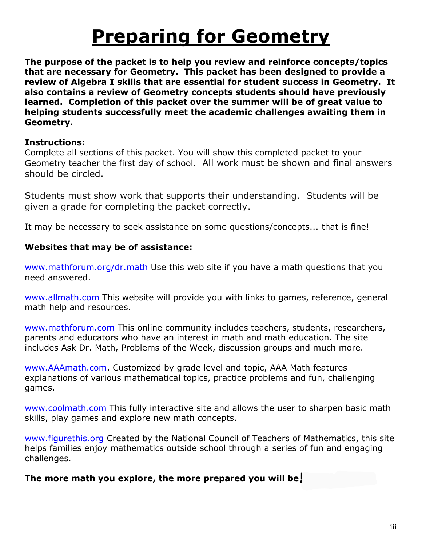# **Preparing for Geometry**

**The purpose of the packet is to help you review and reinforce concepts/topics that are necessary for Geometry. This packet has been designed to provide a review of Algebra I skills that are essential for student success in Geometry. It also contains a review of Geometry concepts students should have previously learned. Completion of this packet over the summer will be of great value to helping students successfully meet the academic challenges awaiting them in Geometry.**

#### **Instructions:**

Complete all sections of this packet. You will show this completed packet to your Geometry teacher the first day of school. All work must be shown and final answers should be circled.

Students must show work that supports their understanding. Students will be given a grade for completing the packet correctly.

It may be necessary to seek assistance on some questions/concepts... that is fine!

#### **Websites that may be of assistance:**

www.mathforum.org/dr.math Use this web site if you have a math questions that you need answered.

www.allmath.com This website will provide you with links to games, reference, general math help and resources.

www.mathforum.com This online community includes teachers, students, researchers, parents and educators who have an interest in math and math education. The site includes Ask Dr. Math, Problems of the Week, discussion groups and much more.

www.AAAmath.com. Customized by grade level and topic, AAA Math features explanations of various mathematical topics, practice problems and fun, challenging games.

www.coolmath.com This fully interactive site and allows the user to sharpen basic math skills, play games and explore new math concepts.

www.figurethis.org Created by the National Council of Teachers of Mathematics, this site helps families enjoy mathematics outside school through a series of fun and engaging challenges.

**The more math you explore, the more prepared you will be!**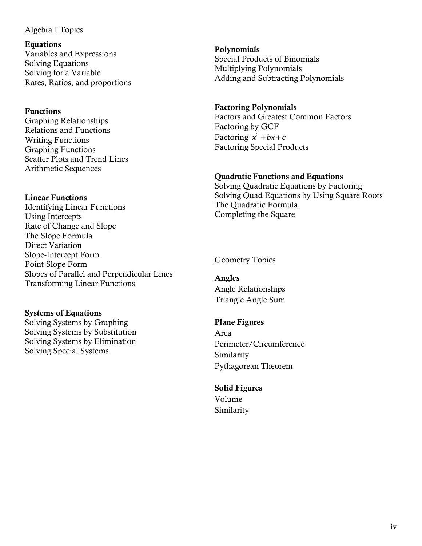#### Algebra I Topics

**Equations** Variables and Expressions Solving Equations Solving for a Variable Rates, Ratios, and proportions

#### **Functions**

Graphing Relationships Relations and Functions Writing Functions Graphing Functions Scatter Plots and Trend Lines Arithmetic Sequences

#### **Linear Functions**

Identifying Linear Functions Using Intercepts Rate of Change and Slope The Slope Formula Direct Variation Slope-Intercept Form Point-Slope Form Slopes of Parallel and Perpendicular Lines Transforming Linear Functions

#### **Systems of Equations**

Solving Systems by Graphing Solving Systems by Substitution Solving Systems by Elimination Solving Special Systems

**Polynomials** Special Products of Binomials Multiplying Polynomials Adding and Subtracting Polynomials

#### **Factoring Polynomials**

Factors and Greatest Common Factors Factoring by GCF Factoring  $x^2 + bx + c$ Factoring Special Products

#### **Quadratic Functions and Equations**

Solving Quadratic Equations by Factoring Solving Quad Equations by Using Square Roots The Quadratic Formula Completing the Square

#### **Geometry Topics**

**Angles** Angle Relationships Triangle Angle Sum

#### **Plane Figures**

Area Perimeter/Circumference Similarity Pythagorean Theorem

#### **Solid Figures**

Volume Similarity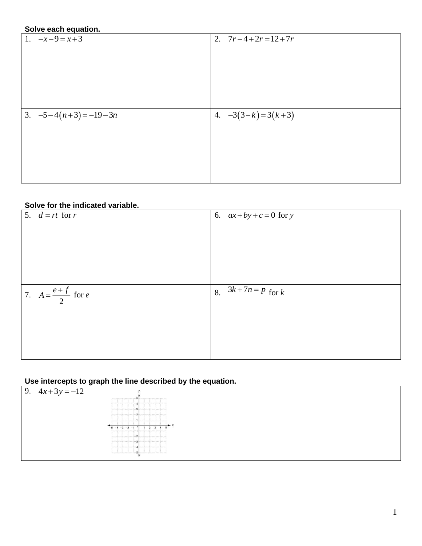#### **Solve each equation.**

| <u> </u><br>1. $-x-9=x+3$ | 2. $7r-4+2r=12+7r$  |
|---------------------------|---------------------|
|                           |                     |
|                           |                     |
|                           |                     |
|                           |                     |
|                           |                     |
|                           |                     |
| 3. $-5-4(n+3) = -19-3n$   | 4. $-3(3-k)=3(k+3)$ |
|                           |                     |
|                           |                     |
|                           |                     |
|                           |                     |
|                           |                     |
|                           |                     |

#### **Solve for the indicated variable.**

| 5. $d = rt$ for r            | 6. $ax+by+c=0$ for y           |
|------------------------------|--------------------------------|
|                              |                                |
|                              |                                |
|                              |                                |
|                              |                                |
|                              |                                |
|                              |                                |
| 7. $A = \frac{e+f}{2}$ for e | $\sqrt{3k+7n} = p$ for k<br>8. |
|                              |                                |
|                              |                                |
|                              |                                |
|                              |                                |
|                              |                                |

#### **Use intercepts to graph the line described by the equation.**

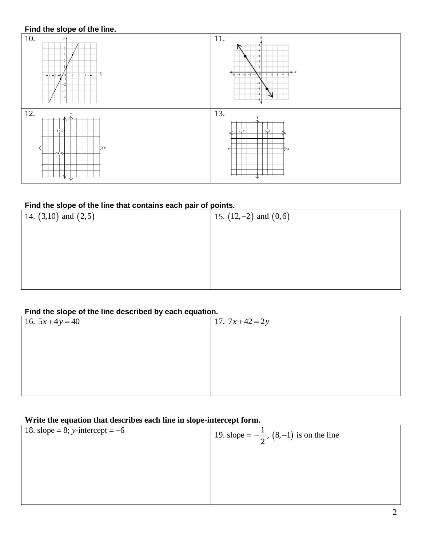

#### **Find the slope of the line that contains each pair of points.**

| 14. $(3,10)$ and $(2,5)$ | 15. $(12,-2)$ and $(0,6)$ |
|--------------------------|---------------------------|
|                          |                           |
|                          |                           |
|                          |                           |
|                          |                           |

#### **Find the slope of the line described by each equation.**

| - -----<br>---- ---- --- - - - - |                |
|----------------------------------|----------------|
| 16. $5x+4y=40$                   | 17. $7x+42=2y$ |
|                                  |                |
|                                  |                |
|                                  |                |
|                                  |                |
|                                  |                |
|                                  |                |

#### **Write the equation that describes each line in slope-intercept form.**

| 18. slope = 8; y-intercept = $-6$ | 19. slope = $-\frac{1}{2}$ , (8,-1) is on the line |
|-----------------------------------|----------------------------------------------------|
|                                   |                                                    |
|                                   |                                                    |
|                                   |                                                    |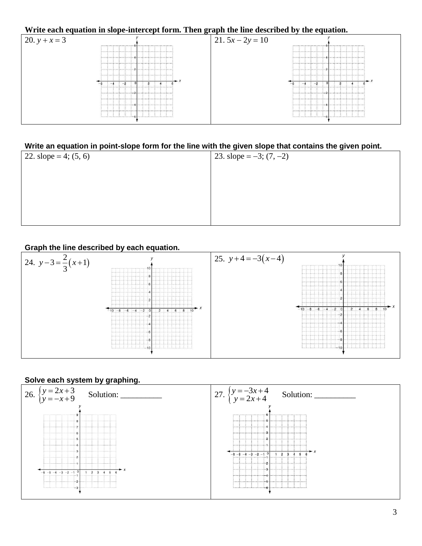## **Write each equation in slope-intercept form. Then graph the line described by the equation.**



#### **Write an equation in point-slope form for the line with the given slope that contains the given point.**

| 22. slope = 4; $(5, 6)$ | 23. slope = $-3$ ; (7, -2) |
|-------------------------|----------------------------|
|                         |                            |
|                         |                            |
|                         |                            |
|                         |                            |
|                         |                            |

### **Graph the line described by each equation.**



#### **Solve each system by graphing.**

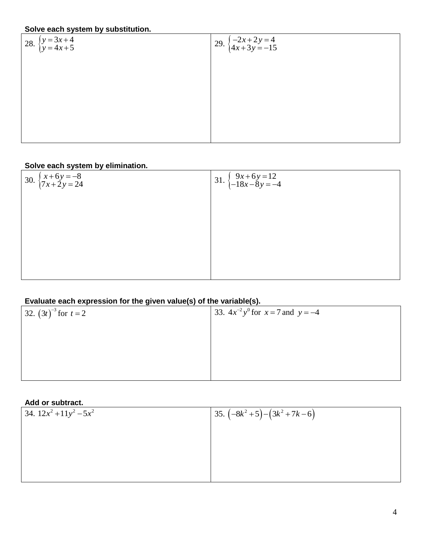#### **Solve each system by substitution.**

28.  $\begin{cases} y = 3x + 4 \\ y = 4x + 5 \end{cases}$  $4x + 5$  $=4x+$ 

$$
29. \begin{cases} -2x+2y=4\\ 4x+3y=-15 \end{cases}
$$

28. 
$$
\begin{cases} y = 3x + 4 \\ y = 4x + 5 \end{cases}
$$
 29. 
$$
\begin{cases} -2x + 2y = 4 \\ 4x + 3y = -15 \end{cases}
$$

#### **Solve each system by elimination.**

30. 
$$
\begin{cases} x+6y = -8 \\ 7x+2y = 24 \end{cases}
$$
31. 
$$
\begin{cases} 9x+6y = 12 \\ -18x-8y = -4 \end{cases}
$$

#### **Evaluate each expression for the given value(s) of the variable(s).**

| 32. $(3t)^{-3}$ for $t = 2$ | 33. $4x^{-2}y^{0}$ for $x = 7$ and $y = -4$ |
|-----------------------------|---------------------------------------------|
|                             |                                             |
|                             |                                             |
|                             |                                             |
|                             |                                             |

#### **Add or subtract.**

| $1.99$ $0.99$              |                             |
|----------------------------|-----------------------------|
| 34. $12x^2 + 11y^2 - 5x^2$ | 35. $(-8k^2+5)-(3k^2+7k-6)$ |
|                            |                             |
|                            |                             |
|                            |                             |
|                            |                             |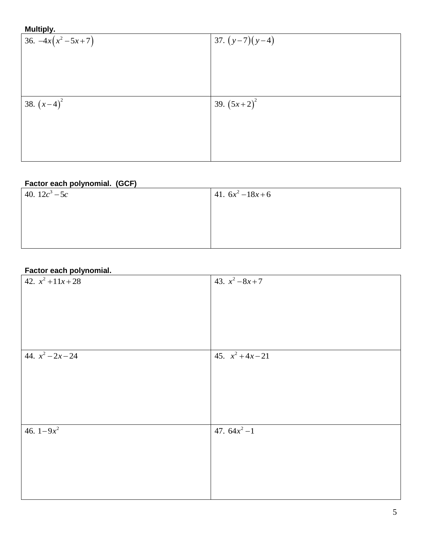#### **Multiply.**

| 36. $-4x(x^2-5x+7)$ | 37. $(y-7)(y-4)$ |
|---------------------|------------------|
|                     |                  |
|                     |                  |
|                     |                  |
| 38. $(x-4)^2$       | 39. $(5x+2)^2$   |
|                     |                  |
|                     |                  |
|                     |                  |

#### **Factor each polynomial. (GCF)**

| 40. $12c^3 - 5c$ | 41. $6x^2-18x+6$ |
|------------------|------------------|
|                  |                  |
|                  |                  |
|                  |                  |

### **Factor each polynomial.**

| $42. x^2 + 11x + 28$ | 43. $x^2-8x+7$      |
|----------------------|---------------------|
|                      |                     |
|                      |                     |
|                      |                     |
|                      |                     |
|                      |                     |
| 44. $x^2 - 2x - 24$  | 45. $x^2 + 4x - 21$ |
|                      |                     |
|                      |                     |
|                      |                     |
|                      |                     |
|                      |                     |
| 46. $1-9x^2$         | 47. $64x^2 - 1$     |
|                      |                     |
|                      |                     |
|                      |                     |
|                      |                     |
|                      |                     |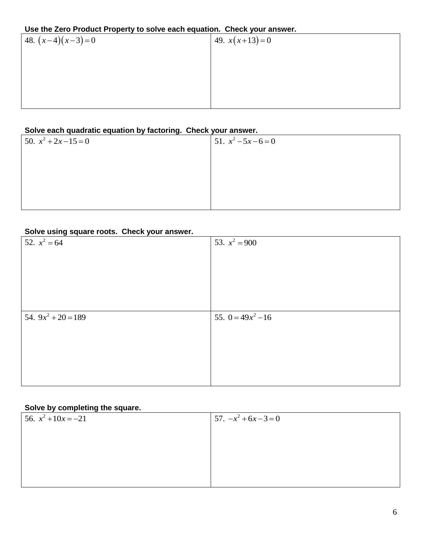#### **Use the Zero Product Property to solve each equation. Check your answer.**

| --------           |                 |
|--------------------|-----------------|
| 48. $(x-4)(x-3)=0$ | 49. $x(x+13)=0$ |
|                    |                 |
|                    |                 |
|                    |                 |
|                    |                 |
|                    |                 |

#### **Solve each quadratic equation by factoring. Check your answer.**

| $50. x^2 + 2x - 15 = 0$ | 51. $x^2 - 5x - 6 = 0$ |
|-------------------------|------------------------|
|                         |                        |
|                         |                        |
|                         |                        |
|                         |                        |

#### **Solve using square roots. Check your answer.**

| 52. $x^2 = 64$        | 53. $x^2 = 900$      |
|-----------------------|----------------------|
|                       |                      |
|                       |                      |
|                       |                      |
|                       |                      |
|                       |                      |
|                       |                      |
|                       |                      |
| 54. $9x^2 + 20 = 189$ | 55. $0 = 49x^2 - 16$ |
|                       |                      |
|                       |                      |
|                       |                      |
|                       |                      |

#### **Solve by completing the square.**

| 56. $x^2 + 10x = -21$ | $57. -x^2 + 6x - 3 = 0$ |
|-----------------------|-------------------------|
|                       |                         |
|                       |                         |
|                       |                         |
|                       |                         |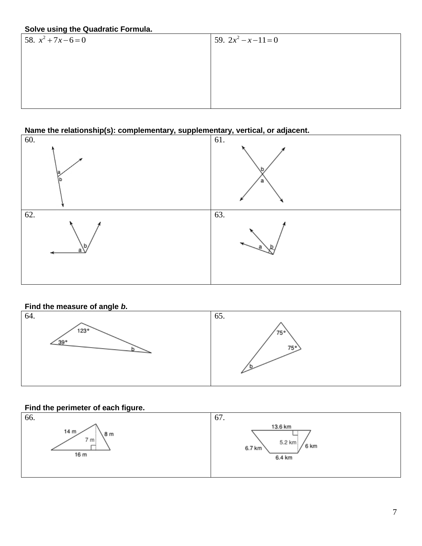#### **Solve using the Quadratic Formula.**

| 58. $x^2 + 7x - 6 = 0$ | 59. $2x^2 - x - 11 = 0$ |  |
|------------------------|-------------------------|--|
|                        |                         |  |
|                        |                         |  |
|                        |                         |  |
|                        |                         |  |
|                        |                         |  |

#### **Name the relationship(s): complementary, supplementary, vertical, or adjacent.**



#### **Find the measure of angle** *b***.**



#### **Find the perimeter of each figure.**

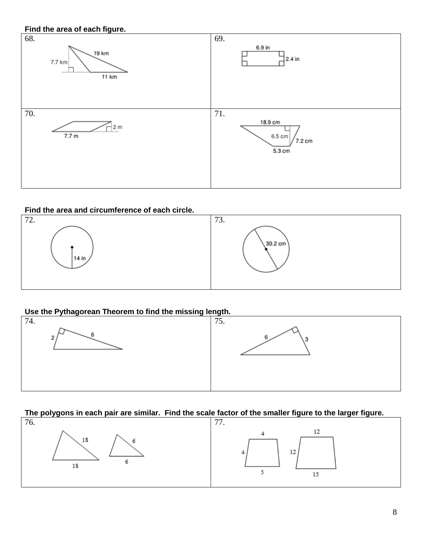

#### **Find the area and circumference of each circle.**





## **The polygons in each pair are similar. Find the scale factor of the smaller figure to the larger figure.**<br>76.